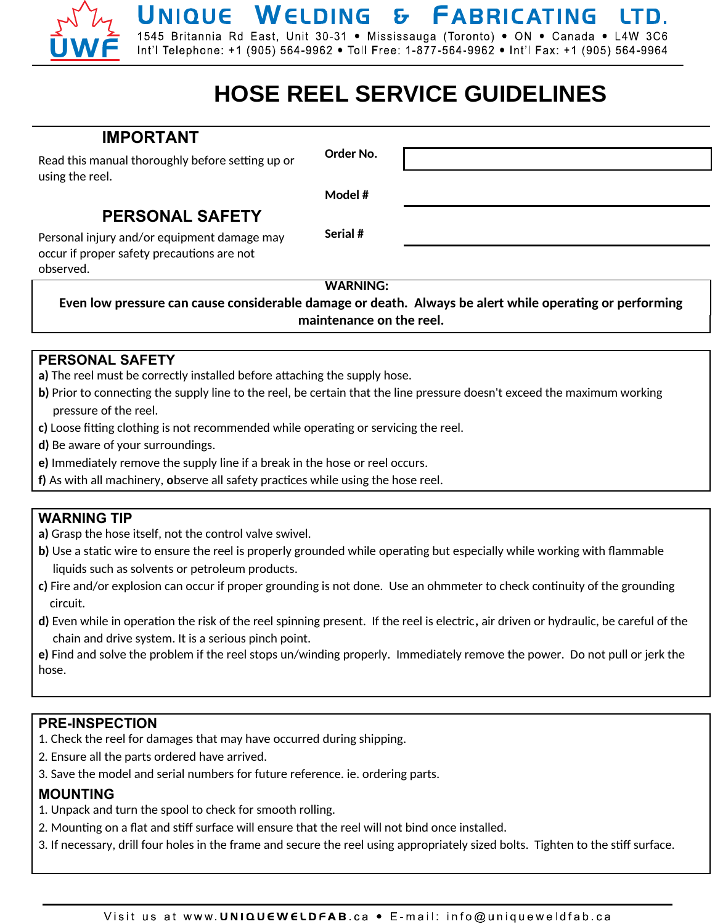# UNIQUE WELDING & FABRICATING LTD.

1545 Britannia Rd East, Unit 30-31 . Mississauga (Toronto) . ON . Canada . L4W 3C6 Int'l Telephone: +1 (905) 564-9962 • Toll Free: 1-877-564-9962 • Int'l Fax: +1 (905) 564-9964

## **HOSE REEL SERVICE GUIDELINES**

### **IMPORTANT**

Read this manual thoroughly before setting up or using the reel.

**Order No.**

**Model #**

**Serial #**

### **PERSONAL SAFETY**

Personal injury and/or equipment damage may occur if proper safety precautions are not observed.

 **WARNING:**

**Even low pressure can cause considerable damage or death. Always be alert while operatng or performing maintenance on the reel.**

### **PERSONAL SAFETY**

- **a)** The reel must be correctly installed before ataching the supply hose.
- **b**) Prior to connecting the supply line to the reel, be certain that the line pressure doesn't exceed the maximum working pressure of the reel.
- **c)** Loose fitting clothing is not recommended while operating or servicing the reel.
- **d)** Be aware of your surroundings.
- **e)** Immediately remove the supply line if a break in the hose or reel occurs.
- f) As with all machinery, observe all safety practices while using the hose reel.

#### **WARNING TIP**

- **a)** Grasp the hose itself, not the control valve swivel.
- **b)** Use a static wire to ensure the reel is properly grounded while operating but especially while working with flammable liquids such as solvents or petroleum products.
- **c)** Fire and/or explosion can occur if proper grounding is not done. Use an ohmmeter to check contnuity of the grounding circuit.
- **d)** Even while in operaton the risk of the reel spinning present. If the reel is electric**,** air driven or hydraulic, be careful of the chain and drive system. It is a serious pinch point.

**e)** Find and solve the problem if the reel stops un/winding properly. Immediately remove the power. Do not pull or jerk the hose.

#### **PRE-INSPECTION**

- 1. Check the reel for damages that may have occurred during shipping.
- 2. Ensure all the parts ordered have arrived.
- 3. Save the model and serial numbers for future reference. ie. ordering parts.

#### **MOUNTING**

- 1. Unpack and turn the spool to check for smooth rolling.
- 2. Mounting on a flat and stiff surface will ensure that the reel will not bind once installed.
- 3. If necessary, drill four holes in the frame and secure the reel using appropriately sized bolts. Tighten to the stiff surface.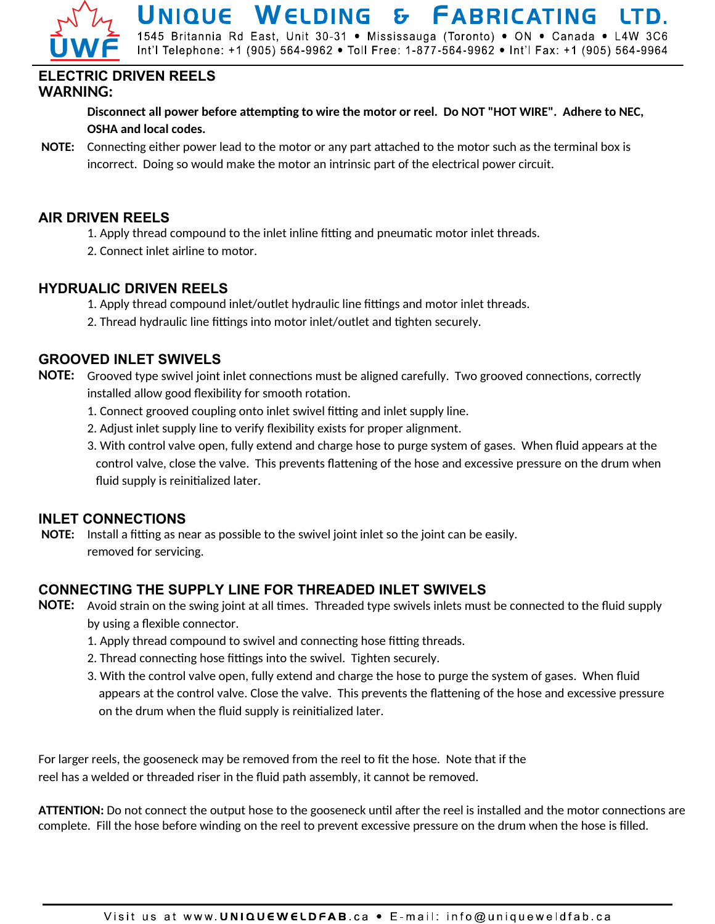

UNIQUE WELDING & FABRICATING 1545 Britannia Rd East, Unit 30-31 · Mississauga (Toronto) · ON · Canada · L4W 3C6

Int'l Telephone: +1 (905) 564-9962 • Toll Free: 1-877-564-9962 • Int'l Fax: +1 (905) 564-9964

#### **ELECTRIC DRIVEN REELS WARNING:**

**Disconnect all power before atemptng to wire the motor or reel. Do NOT "HOT WIRE". Adhere to NEC, OSHA and local codes.**

**NOTE:** Connecting either power lead to the motor or any part attached to the motor such as the terminal box is incorrect. Doing so would make the motor an intrinsic part of the electrical power circuit.

#### **AIR DRIVEN REELS**

- 1. Apply thread compound to the inlet inline fitting and pneumatic motor inlet threads.
- 2. Connect inlet airline to motor.

#### **HYDRUALIC DRIVEN REELS**

- 1. Apply thread compound inlet/outlet hydraulic line fittings and motor inlet threads.
- 2. Thread hydraulic line fittings into motor inlet/outlet and tighten securely.

#### **GROOVED INLET SWIVELS**

- **NOTE:** Grooved type swivel joint inlet connections must be aligned carefully. Two grooved connections, correctly installed allow good flexibility for smooth rotation.
	- 1. Connect grooved coupling onto inlet swivel fitting and inlet supply line.
	- 2. Adjust inlet supply line to verify fexibility exists for proper alignment.
	- 3. With control valve open, fully extend and charge hose to purge system of gases. When fuid appears at the control valve, close the valve. This prevents fatening of the hose and excessive pressure on the drum when fuid supply is reinitalized later.

#### **INLET CONNECTIONS**

**NOTE:** Install a fitting as near as possible to the swivel joint inlet so the joint can be easily. removed for servicing.

#### **CONNECTING THE SUPPLY LINE FOR THREADED INLET SWIVELS**

- **NOTE:** Avoid strain on the swing joint at all tmes. Threaded type swivels inlets must be connected to the fuid supply by using a flexible connector.
	- 1. Apply thread compound to swivel and connecting hose fitting threads.
	- 2. Thread connecting hose fittings into the swivel. Tighten securely.
	- 3. With the control valve open, fully extend and charge the hose to purge the system of gases. When fuid appears at the control valve. Close the valve. This prevents the fatening of the hose and excessive pressure on the drum when the fuid supply is reinitalized later.

For larger reels, the gooseneck may be removed from the reel to fit the hose. Note that if the reel has a welded or threaded riser in the fuid path assembly, it cannot be removed.

ATTENTION: Do not connect the output hose to the gooseneck until after the reel is installed and the motor connections are complete. Fill the hose before winding on the reel to prevent excessive pressure on the drum when the hose is flled.